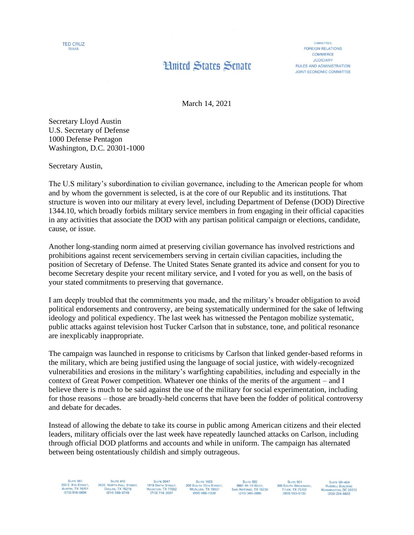

## **Hnited States Senate**

**COMMITTEES FOREIGN RELATIONS** COMMERCE **JUDICIARY** RULES AND ADMINISTRATION **JOINT ECONOMIC COMMITTEE** 

March 14, 2021

Secretary Lloyd Austin U.S. Secretary of Defense 1000 Defense Pentagon Washington, D.C. 20301-1000

Secretary Austin,

The U.S military's subordination to civilian governance, including to the American people for whom and by whom the government is selected, is at the core of our Republic and its institutions. That structure is woven into our military at every level, including Department of Defense (DOD) Directive 1344.10, which broadly forbids military service members in from engaging in their official capacities in any activities that associate the DOD with any partisan political campaign or elections, candidate, cause, or issue.

Another long-standing norm aimed at preserving civilian governance has involved restrictions and prohibitions against recent servicemembers serving in certain civilian capacities, including the position of Secretary of Defense. The United States Senate granted its advice and consent for you to become Secretary despite your recent military service, and I voted for you as well, on the basis of your stated commitments to preserving that governance.

I am deeply troubled that the commitments you made, and the military's broader obligation to avoid political endorsements and controversy, are being systematically undermined for the sake of leftwing ideology and political expediency. The last week has witnessed the Pentagon mobilize systematic, public attacks against television host Tucker Carlson that in substance, tone, and political resonance are inexplicably inappropriate.

The campaign was launched in response to criticisms by Carlson that linked gender-based reforms in the military, which are being justified using the language of social justice, with widely-recognized vulnerabilities and erosions in the military's warfighting capabilities, including and especially in the context of Great Power competition. Whatever one thinks of the merits of the argument – and I believe there is much to be said against the use of the military for social experimentation, including for those reasons – those are broadly-held concerns that have been the fodder of political controversy and debate for decades.

Instead of allowing the debate to take its course in public among American citizens and their elected leaders, military officials over the last week have repeatedly launched attacks on Carlson, including through official DOD platforms and accounts and while in uniform. The campaign has alternated between being ostentatiously childish and simply outrageous.

300 E. 8TH STREET,<br>AUSTIN, TX 78701<br>(512) 916-5834

**3626** NORTH HALL STREET,<br>DALLAS, TX 75219<br>(214) 599-8749

SUITE 9047<br>1919 SMITH STREET,<br>HOUSTON, TX 77002<br>(713) 718-3057 **SUITE 1603 200 SOUTH 10TH STREET,<br>MCALLEN, TX 78501**  $(956) 686 - 7339$ 

9901 IH-10 WEST SAN ANTONIO, TX 78230<br>(210) 340-2885

**SUITE 501** 305 SOUTH BROADWAY, TYLER, TX 75702<br>(903) 593-5130

SUITE SR-404 **SUITE SH-404**<br>RUSSELL BUILDING<br>WASHINGTON, DC 20510<br>(202) 224-5922